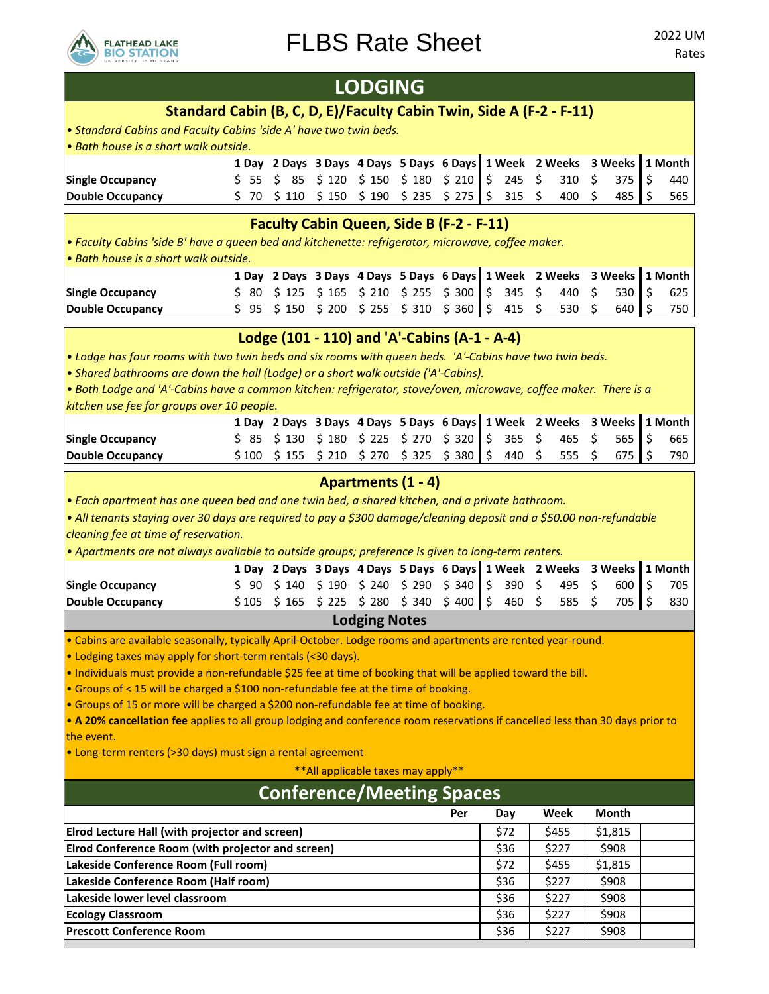

|                                                                                                                                                                                                                       |       |          |       | <b>LODGING</b>                                                  |       |       |                     |              |     |                |    |                |    |         |
|-----------------------------------------------------------------------------------------------------------------------------------------------------------------------------------------------------------------------|-------|----------|-------|-----------------------------------------------------------------|-------|-------|---------------------|--------------|-----|----------------|----|----------------|----|---------|
| Standard Cabin (B, C, D, E)/Faculty Cabin Twin, Side A (F-2 - F-11)                                                                                                                                                   |       |          |       |                                                                 |       |       |                     |              |     |                |    |                |    |         |
| . Standard Cabins and Faculty Cabins 'side A' have two twin beds.                                                                                                                                                     |       |          |       |                                                                 |       |       |                     |              |     |                |    |                |    |         |
| · Bath house is a short walk outside.                                                                                                                                                                                 |       |          |       |                                                                 |       |       |                     |              |     |                |    |                |    |         |
|                                                                                                                                                                                                                       |       |          |       | 1 Day 2 Days 3 Days 4 Days 5 Days 6 Days 1 Week 2 Weeks 3 Weeks |       |       |                     |              |     |                |    |                |    | 1 Month |
| <b>Single Occupancy</b>                                                                                                                                                                                               | \$55  | \$<br>85 | \$120 | \$150                                                           | \$180 | \$210 | Ŝ.                  | 245          | \$  | 310            | \$ | 375            | \$ | 440     |
| <b>Double Occupancy</b>                                                                                                                                                                                               | \$ 70 | \$110    | \$150 | \$190                                                           | \$235 | \$275 | \$                  | 315          | \$  | 400            | \$ | 485            | Ś  | 565     |
|                                                                                                                                                                                                                       |       |          |       | <b>Faculty Cabin Queen, Side B (F-2 - F-11)</b>                 |       |       |                     |              |     |                |    |                |    |         |
| . Faculty Cabins 'side B' have a queen bed and kitchenette: refrigerator, microwave, coffee maker                                                                                                                     |       |          |       |                                                                 |       |       |                     |              |     |                |    |                |    |         |
| · Bath house is a short walk outside.                                                                                                                                                                                 |       |          |       |                                                                 |       |       |                     |              |     |                |    |                |    |         |
|                                                                                                                                                                                                                       |       |          |       | 1 Day 2 Days 3 Days 4 Days 5 Days 6 Days 1 Week 2 Weeks         |       |       |                     |              |     |                |    | 3 Weeks        |    | 1 Month |
| <b>Single Occupancy</b>                                                                                                                                                                                               | \$ 80 | \$125    |       | $$165$ $$210$                                                   | \$255 | \$300 | \$                  | 345          | \$  | 440            | \$ | 530            | \$ | 625     |
| <b>Double Occupancy</b>                                                                                                                                                                                               | \$95  | \$150    | \$200 | \$255                                                           | \$310 | \$360 | \$                  | 415          | \$  | 530            | Ś  | 640            | Ś  | 750     |
| Lodge (101 - 110) and 'A'-Cabins (A-1 - A-4)                                                                                                                                                                          |       |          |       |                                                                 |       |       |                     |              |     |                |    |                |    |         |
| . Lodge has four rooms with two twin beds and six rooms with queen beds. 'A'-Cabins have two twin beds.                                                                                                               |       |          |       |                                                                 |       |       |                     |              |     |                |    |                |    |         |
| • Shared bathrooms are down the hall (Lodge) or a short walk outside ('A'-Cabins).                                                                                                                                    |       |          |       |                                                                 |       |       |                     |              |     |                |    |                |    |         |
| . Both Lodge and 'A'-Cabins have a common kitchen: refrigerator, stove/oven, microwave, coffee maker. There is a                                                                                                      |       |          |       |                                                                 |       |       |                     |              |     |                |    |                |    |         |
| kitchen use fee for groups over 10 people.                                                                                                                                                                            |       |          |       |                                                                 |       |       |                     |              |     |                |    |                |    |         |
|                                                                                                                                                                                                                       |       |          |       | 1 Day 2 Days 3 Days 4 Days 5 Days 6 Days 1 Week 2 Weeks         |       |       |                     |              |     |                |    | 3 Weeks        |    | 1 Month |
| <b>Single Occupancy</b>                                                                                                                                                                                               | S 85  | \$130    | \$180 | \$225                                                           | \$270 | \$320 | \$.                 | 365          | \$  | 465            | \$ | 565            | \$ | 665     |
| <b>Double Occupancy</b>                                                                                                                                                                                               | \$100 | \$155    |       | $$210$ $$270$ $$325$ $$380$                                     |       |       | $\ddot{\mathsf{S}}$ | 440          | \$. | 555            | \$ | 675            | .S | 790     |
|                                                                                                                                                                                                                       |       |          |       | Apartments (1 - 4)                                              |       |       |                     |              |     |                |    |                |    |         |
|                                                                                                                                                                                                                       |       |          |       |                                                                 |       |       |                     |              |     |                |    |                |    |         |
| • Each apartment has one queen bed and one twin bed, a shared kitchen, and a private bathroom.<br>• All tenants staying over 30 days are required to pay a \$300 damage/cleaning deposit and a \$50.00 non-refundable |       |          |       |                                                                 |       |       |                     |              |     |                |    |                |    |         |
| cleaning fee at time of reservation.                                                                                                                                                                                  |       |          |       |                                                                 |       |       |                     |              |     |                |    |                |    |         |
| • Apartments are not always available to outside groups; preference is given to long-term renters.                                                                                                                    |       |          |       |                                                                 |       |       |                     |              |     |                |    |                |    |         |
|                                                                                                                                                                                                                       |       |          |       | 1 Day 2 Days 3 Days 4 Days 5 Days 6 Days 1 Week 2 Weeks 3 Weeks |       |       |                     |              |     |                |    |                |    | 1 Month |
| <b>Single Occupancy</b>                                                                                                                                                                                               | \$90  | \$140    | \$190 | \$ 240                                                          | \$290 | \$340 | \$                  | 390          | \$  | 495            | \$ | 600            | \$ | 705     |
| <b>Double Occupancy</b>                                                                                                                                                                                               | \$105 | \$165    | \$225 | \$ 280                                                          | \$340 | \$400 | l\$                 | 460          | \$  | 585            | \$ | 705            | .S | 830     |
|                                                                                                                                                                                                                       |       |          |       | <b>Lodging Notes</b>                                            |       |       |                     |              |     |                |    |                |    |         |
| • Cabins are available seasonally, typically April-October. Lodge rooms and apartments are rented year-round.                                                                                                         |       |          |       |                                                                 |       |       |                     |              |     |                |    |                |    |         |
| . Lodging taxes may apply for short-term rentals (<30 days).                                                                                                                                                          |       |          |       |                                                                 |       |       |                     |              |     |                |    |                |    |         |
| . Individuals must provide a non-refundable \$25 fee at time of booking that will be applied toward the bill.                                                                                                         |       |          |       |                                                                 |       |       |                     |              |     |                |    |                |    |         |
| • Groups of < 15 will be charged a \$100 non-refundable fee at the time of booking.                                                                                                                                   |       |          |       |                                                                 |       |       |                     |              |     |                |    |                |    |         |
| • Groups of 15 or more will be charged a \$200 non-refundable fee at time of booking.                                                                                                                                 |       |          |       |                                                                 |       |       |                     |              |     |                |    |                |    |         |
| • A 20% cancellation fee applies to all group lodging and conference room reservations if cancelled less than 30 days prior to<br>the event.                                                                          |       |          |       |                                                                 |       |       |                     |              |     |                |    |                |    |         |
| • Long-term renters (>30 days) must sign a rental agreement                                                                                                                                                           |       |          |       |                                                                 |       |       |                     |              |     |                |    |                |    |         |
|                                                                                                                                                                                                                       |       |          |       |                                                                 |       |       |                     |              |     |                |    |                |    |         |
| ** All applicable taxes may apply**                                                                                                                                                                                   |       |          |       |                                                                 |       |       |                     |              |     |                |    |                |    |         |
| <b>Conference/Meeting Spaces</b>                                                                                                                                                                                      |       |          |       |                                                                 |       |       |                     |              |     |                |    |                |    |         |
|                                                                                                                                                                                                                       |       |          |       |                                                                 |       | Per   |                     | Day          |     | Week           |    | Month          |    |         |
| Elrod Lecture Hall (with projector and screen)                                                                                                                                                                        |       |          |       |                                                                 |       |       |                     | \$72         |     | \$455          |    | \$1,815        |    |         |
| Elrod Conference Room (with projector and screen)                                                                                                                                                                     |       |          |       |                                                                 |       |       |                     | \$36         |     | \$227          |    | \$908          |    |         |
| Lakeside Conference Room (Full room)                                                                                                                                                                                  |       |          |       |                                                                 |       | \$72  |                     | \$455        |     | \$1,815        |    |                |    |         |
| Lakeside Conference Room (Half room)                                                                                                                                                                                  |       |          |       |                                                                 |       | \$36  |                     | \$227        |     | \$908          |    |                |    |         |
| Lakeside lower level classroom                                                                                                                                                                                        |       |          |       |                                                                 |       |       |                     | \$36         |     | \$227          |    | \$908          |    |         |
| <b>Ecology Classroom</b><br><b>Prescott Conference Room</b>                                                                                                                                                           |       |          |       |                                                                 |       |       |                     | \$36<br>\$36 |     | \$227<br>\$227 |    | \$908<br>\$908 |    |         |
|                                                                                                                                                                                                                       |       |          |       |                                                                 |       |       |                     |              |     |                |    |                |    |         |